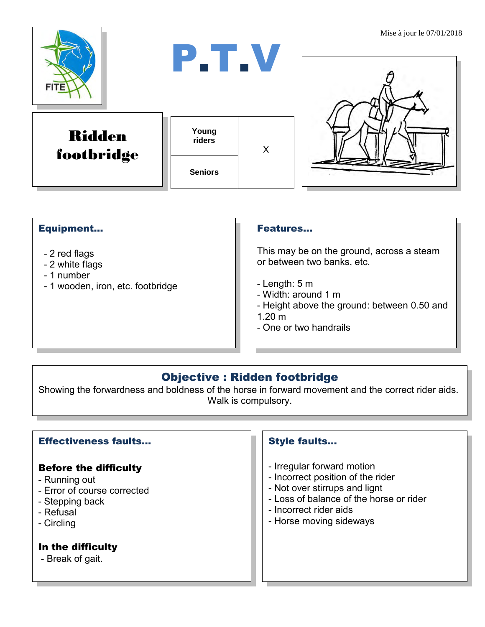

#### Equipment...

- 2 red flags
- 2 white flags
- 1 number
- 1 wooden, iron, etc. footbridge

#### Features…

This may be on the ground, across a steam or between two banks, etc.

- Length: 5 m
- Width: around 1 m
- Height above the ground: between 0.50 and
- 1.20 m
- One or two handrails

## Objective : Ridden footbridge

Showing the forwardness and boldness of the horse in forward movement and the correct rider aids. Walk is compulsory.

### Effectiveness faults…

#### Before the difficulty

- Running out
- Error of course corrected
- Stepping back
- Refusal
- Circling

#### In the difficulty

- Break of gait.

### Style faults…

- Irregular forward motion
- Incorrect position of the rider
- Not over stirrups and lignt
- Loss of balance of the horse or rider
- Incorrect rider aids
- Horse moving sideways